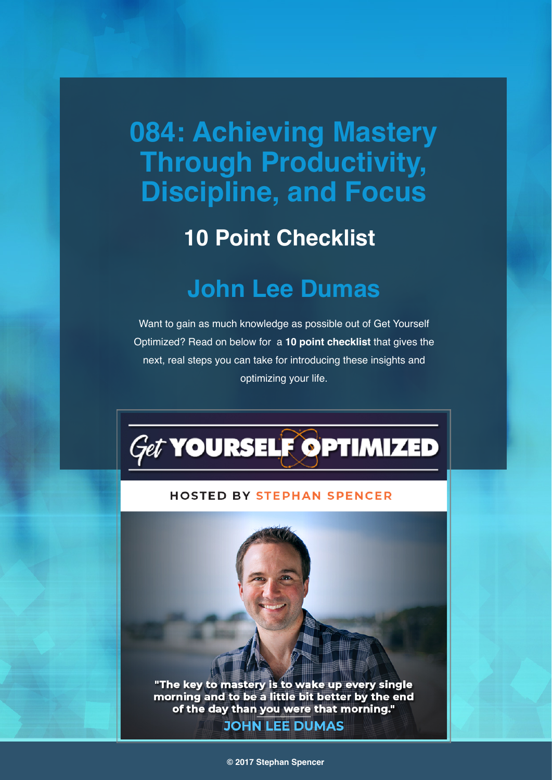# **084: Achieving Mastery Through Productivity, Discipline, and Focus**

### **10 Point Checklist**

### **John Lee Dumas**

Want to gain as much knowledge as possible out of Get Yourself Optimized? Read on below for a **10 point checklist** that gives the next, real steps you can take for introducing these insights and optimizing your life.



#### **HOSTED BY STEPHAN SPENCER**

"The key to mastery is to wake up every single morning and to be a little bit better by the end of the day than you were that morning." **JOHN LEE DUMAS**